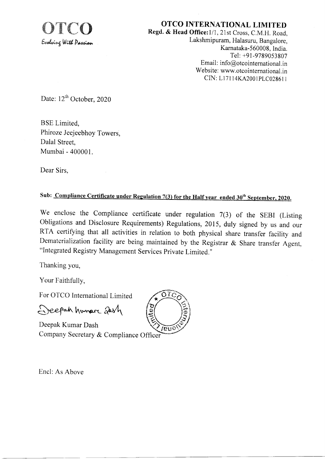

OTCO INTERNATIONAL LIMITED Regd. & Head Office: 1/1, 21st Cross, C.M.H. Road,

Lakshmipuram, Halasuru, Bangalore, Karnataka-560008, India. Tel: +91-9789053807 Email: info@otcointernational.in Website: www.otcointernational.in CIN: L17114KA2001PLC028611

Date:  $12^{th}$  October, 2020

**BSE** Limited. Phiroze Jeejeebhoy Towers, Dalal Street. Mumbai - 400001.

Dear Sirs.

## Sub: Compliance Certificate under Regulation 7(3) for the Half year ended 30<sup>th</sup> September, 2020.

We enclose the Compliance certificate under regulation  $7(3)$  of the SEBI (Listing Obligations and Disclosure Requirements) Regulations, 2015, duly signed by us and our RTA certifying that all activities in relation to both physical share transfer facility and Dematerialization facility are being maintained by the Registrar & Share transfer Agent, "Integrated Registry Management Services Private Limited."

Thanking you,

Your Faithfully,

For OTCO International Limited

Deepah humar 2014

Deepak Kumar Dash Company Secretary & Compliance Officer



Encl: As Above